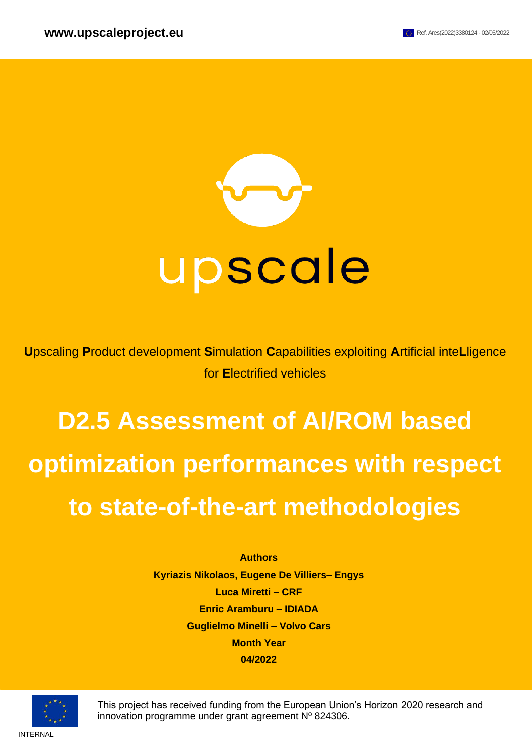

**U**pscaling **P**roduct development **S**imulation **C**apabilities exploiting **A**rtificial inte**L**ligence for **E**lectrified vehicles

# **D2.5 Assessment of AI/ROM based optimization performances with respect to state-of-the-art methodologies**

#### **Authors**

**Kyriazis Nikolaos, Eugene De Villiers– Engys Luca Miretti – CRF Enric Aramburu – IDIADA Guglielmo Minelli – Volvo Cars Month Year 04/2022**



This project has received funding from the European Union's Horizon 2020 research and innovation programme under grant agreement Nº 824306.

INTERNAL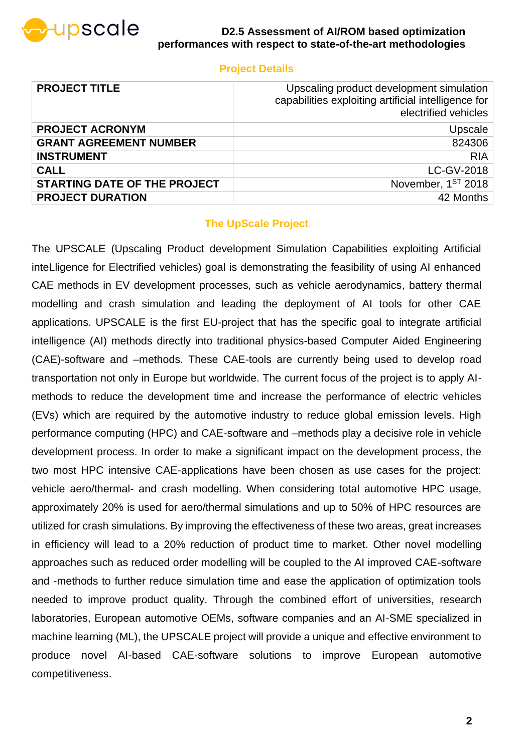

### **Project Details**

| <b>PROJECT TITLE</b>                | Upscaling product development simulation<br>capabilities exploiting artificial intelligence for<br>electrified vehicles |
|-------------------------------------|-------------------------------------------------------------------------------------------------------------------------|
| <b>PROJECT ACRONYM</b>              | Upscale                                                                                                                 |
| <b>GRANT AGREEMENT NUMBER</b>       | 824306                                                                                                                  |
| <b>INSTRUMENT</b>                   | <b>RIA</b>                                                                                                              |
| <b>CALL</b>                         | LC-GV-2018                                                                                                              |
| <b>STARTING DATE OF THE PROJECT</b> | November, 1ST 2018                                                                                                      |
| <b>PROJECT DURATION</b>             | 42 Months                                                                                                               |

### **The UpScale Project**

The UPSCALE (Upscaling Product development Simulation Capabilities exploiting Artificial inteLligence for Electrified vehicles) goal is demonstrating the feasibility of using AI enhanced CAE methods in EV development processes, such as vehicle aerodynamics, battery thermal modelling and crash simulation and leading the deployment of AI tools for other CAE applications. UPSCALE is the first EU-project that has the specific goal to integrate artificial intelligence (AI) methods directly into traditional physics-based Computer Aided Engineering (CAE)-software and –methods. These CAE-tools are currently being used to develop road transportation not only in Europe but worldwide. The current focus of the project is to apply AImethods to reduce the development time and increase the performance of electric vehicles (EVs) which are required by the automotive industry to reduce global emission levels. High performance computing (HPC) and CAE-software and –methods play a decisive role in vehicle development process. In order to make a significant impact on the development process, the two most HPC intensive CAE-applications have been chosen as use cases for the project: vehicle aero/thermal- and crash modelling. When considering total automotive HPC usage, approximately 20% is used for aero/thermal simulations and up to 50% of HPC resources are utilized for crash simulations. By improving the effectiveness of these two areas, great increases in efficiency will lead to a 20% reduction of product time to market. Other novel modelling approaches such as reduced order modelling will be coupled to the AI improved CAE-software and -methods to further reduce simulation time and ease the application of optimization tools needed to improve product quality. Through the combined effort of universities, research laboratories, European automotive OEMs, software companies and an AI-SME specialized in machine learning (ML), the UPSCALE project will provide a unique and effective environment to produce novel AI-based CAE-software solutions to improve European automotive competitiveness.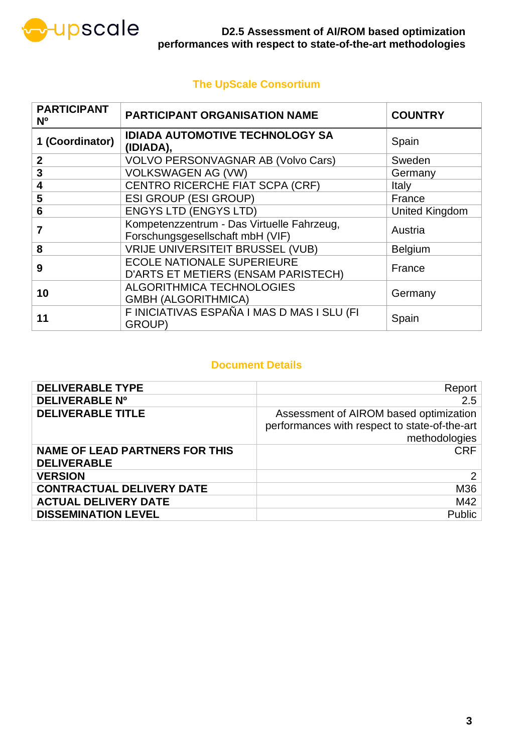

### **The UpScale Consortium**

| <b>PARTICIPANT</b><br>N <sub>o</sub> | <b>PARTICIPANT ORGANISATION NAME</b>                                           | <b>COUNTRY</b>        |
|--------------------------------------|--------------------------------------------------------------------------------|-----------------------|
| 1 (Coordinator)                      | <b>IDIADA AUTOMOTIVE TECHNOLOGY SA</b><br>(IDIADA),                            | Spain                 |
| $\mathbf{2}$                         | <b>VOLVO PERSONVAGNAR AB (Volvo Cars)</b>                                      | Sweden                |
| 3                                    | <b>VOLKSWAGEN AG (VW)</b>                                                      | Germany               |
| 4                                    | CENTRO RICERCHE FIAT SCPA (CRF)                                                | <b>Italy</b>          |
| 5                                    | <b>ESI GROUP (ESI GROUP)</b>                                                   | France                |
| 6                                    | <b>ENGYS LTD (ENGYS LTD)</b>                                                   | <b>United Kingdom</b> |
|                                      | Kompetenzzentrum - Das Virtuelle Fahrzeug,<br>Forschungsgesellschaft mbH (VIF) | Austria               |
| 8                                    | <b>VRIJE UNIVERSITEIT BRUSSEL (VUB)</b>                                        | <b>Belgium</b>        |
| 9                                    | <b>ECOLE NATIONALE SUPERIEURE</b><br>D'ARTS ET METIERS (ENSAM PARISTECH)       | France                |
| 10                                   | <b>ALGORITHMICA TECHNOLOGIES</b><br><b>GMBH (ALGORITHMICA)</b>                 | Germany               |
| 11                                   | F INICIATIVAS ESPAÑA I MAS D MAS I SLU (FI<br>GROUP)                           | Spain                 |

### **Document Details**

| <b>DELIVERABLE TYPE</b>                                     | Report                                                                                                   |
|-------------------------------------------------------------|----------------------------------------------------------------------------------------------------------|
| <b>DELIVERABLE Nº</b>                                       | 2.5                                                                                                      |
| <b>DELIVERABLE TITLE</b>                                    | Assessment of AIROM based optimization<br>performances with respect to state-of-the-art<br>methodologies |
| <b>NAME OF LEAD PARTNERS FOR THIS</b><br><b>DELIVERABLE</b> | CRF                                                                                                      |
| <b>VERSION</b>                                              | 2 <sup>1</sup>                                                                                           |
| <b>CONTRACTUAL DELIVERY DATE</b>                            | M36                                                                                                      |
| <b>ACTUAL DELIVERY DATE</b>                                 | M42                                                                                                      |
| <b>DISSEMINATION LEVEL</b>                                  | <b>Public</b>                                                                                            |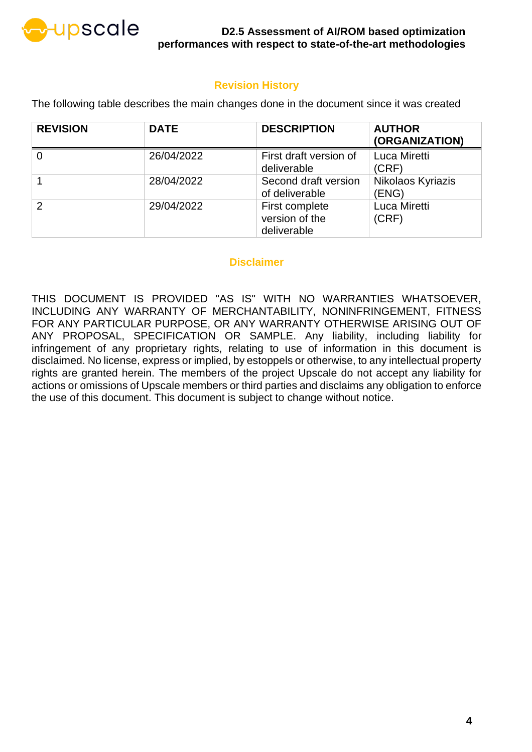

### **Revision History**

The following table describes the main changes done in the document since it was created

| <b>REVISION</b> | <b>DATE</b> | <b>DESCRIPTION</b>                              | <b>AUTHOR</b><br>(ORGANIZATION) |
|-----------------|-------------|-------------------------------------------------|---------------------------------|
|                 | 26/04/2022  | First draft version of<br>deliverable           | Luca Miretti<br>(CRF)           |
|                 | 28/04/2022  | Second draft version<br>of deliverable          | Nikolaos Kyriazis<br>(ENG)      |
| $\mathcal{P}$   | 29/04/2022  | First complete<br>version of the<br>deliverable | Luca Miretti<br>(CRF)           |

### **Disclaimer**

THIS DOCUMENT IS PROVIDED "AS IS" WITH NO WARRANTIES WHATSOEVER, INCLUDING ANY WARRANTY OF MERCHANTABILITY, NONINFRINGEMENT, FITNESS FOR ANY PARTICULAR PURPOSE, OR ANY WARRANTY OTHERWISE ARISING OUT OF ANY PROPOSAL, SPECIFICATION OR SAMPLE. Any liability, including liability for infringement of any proprietary rights, relating to use of information in this document is disclaimed. No license, express or implied, by estoppels or otherwise, to any intellectual property rights are granted herein. The members of the project Upscale do not accept any liability for actions or omissions of Upscale members or third parties and disclaims any obligation to enforce the use of this document. This document is subject to change without notice.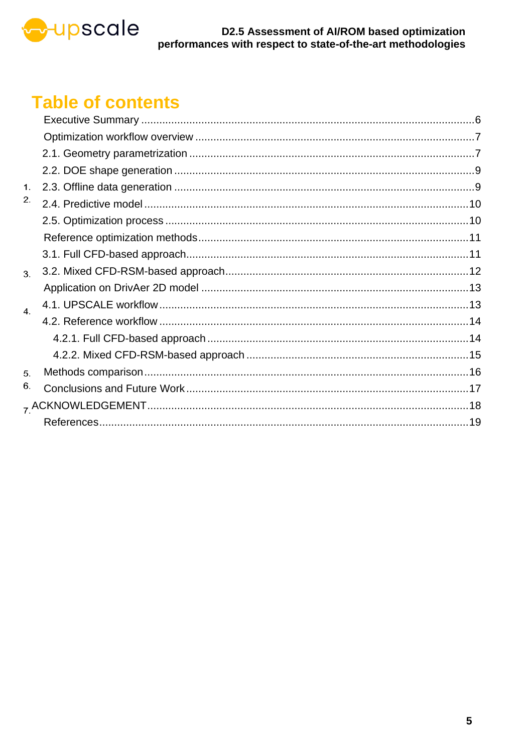

## **Table of contents**

| 1.               |  |
|------------------|--|
| 2.               |  |
|                  |  |
|                  |  |
|                  |  |
| 3 <sub>1</sub>   |  |
|                  |  |
| $\overline{4}$ . |  |
|                  |  |
|                  |  |
|                  |  |
| 5.               |  |
| 6.               |  |
|                  |  |
|                  |  |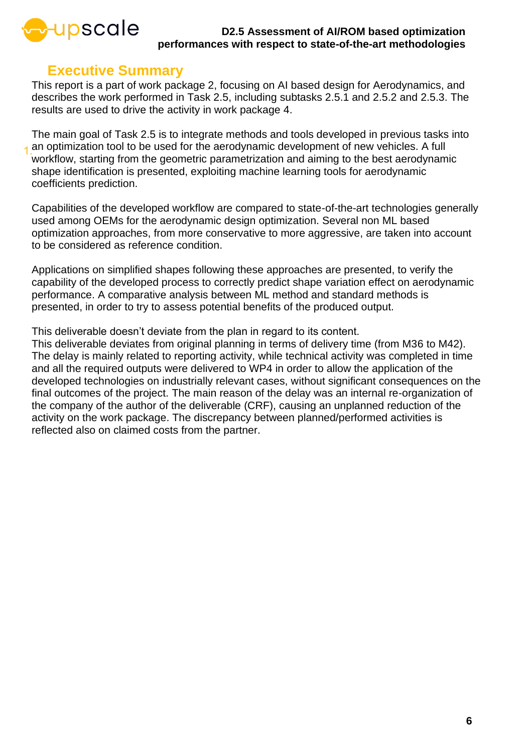

### **Executive Summary**

<span id="page-5-0"></span>This report is a part of work package 2, focusing on AI based design for Aerodynamics, and describes the work performed in Task 2.5, including subtasks 2.5.1 and 2.5.2 and 2.5.3. The results are used to drive the activity in work package 4.

The main goal of Task 2.5 is to integrate methods and tools developed in previous tasks into an optimization tool to be used for the aerodynamic development of new vehicles. A full workflow, starting from the geometric parametrization and aiming to the best aerodynamic shape identification is presented, exploiting machine learning tools for aerodynamic coefficients prediction.

Capabilities of the developed workflow are compared to state-of-the-art technologies generally used among OEMs for the aerodynamic design optimization. Several non ML based optimization approaches, from more conservative to more aggressive, are taken into account to be considered as reference condition.

Applications on simplified shapes following these approaches are presented, to verify the capability of the developed process to correctly predict shape variation effect on aerodynamic performance. A comparative analysis between ML method and standard methods is presented, in order to try to assess potential benefits of the produced output.

This deliverable doesn't deviate from the plan in regard to its content.

This deliverable deviates from original planning in terms of delivery time (from M36 to M42). The delay is mainly related to reporting activity, while technical activity was completed in time and all the required outputs were delivered to WP4 in order to allow the application of the developed technologies on industrially relevant cases, without significant consequences on the final outcomes of the project. The main reason of the delay was an internal re-organization of the company of the author of the deliverable (CRF), causing an unplanned reduction of the activity on the work package. The discrepancy between planned/performed activities is reflected also on claimed costs from the partner.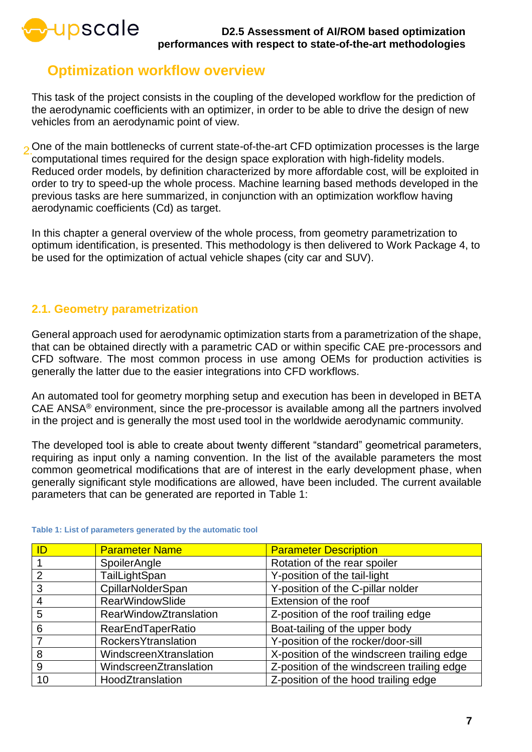

### <span id="page-6-0"></span>**Optimization workflow overview**

This task of the project consists in the coupling of the developed workflow for the prediction of the aerodynamic coefficients with an optimizer, in order to be able to drive the design of new vehicles from an aerodynamic point of view.

o One of the main bottlenecks of current state-of-the-art CFD optimization processes is the large computational times required for the design space exploration with high-fidelity models. Reduced order models, by definition characterized by more affordable cost, will be exploited in order to try to speed-up the whole process. Machine learning based methods developed in the previous tasks are here summarized, in conjunction with an optimization workflow having aerodynamic coefficients (Cd) as target.

In this chapter a general overview of the whole process, from geometry parametrization to optimum identification, is presented. This methodology is then delivered to Work Package 4, to be used for the optimization of actual vehicle shapes (city car and SUV).

### <span id="page-6-1"></span>**2.1. Geometry parametrization**

General approach used for aerodynamic optimization starts from a parametrization of the shape, that can be obtained directly with a parametric CAD or within specific CAE pre-processors and CFD software. The most common process in use among OEMs for production activities is generally the latter due to the easier integrations into CFD workflows.

An automated tool for geometry morphing setup and execution has been in developed in BETA CAE ANSA® environment, since the pre-processor is available among all the partners involved in the project and is generally the most used tool in the worldwide aerodynamic community.

The developed tool is able to create about twenty different "standard" geometrical parameters, requiring as input only a naming convention. In the list of the available parameters the most common geometrical modifications that are of interest in the early development phase, when generally significant style modifications are allowed, have been included. The current available parameters that can be generated are reported in [Table 1:](#page-6-2)

| ID | <b>Parameter Name</b>         | <b>Parameter Description</b>               |
|----|-------------------------------|--------------------------------------------|
|    | SpoilerAngle                  | Rotation of the rear spoiler               |
| 2  | TailLightSpan                 | Y-position of the tail-light               |
| 3  | CpillarNolderSpan             | Y-position of the C-pillar nolder          |
| 4  | <b>RearWindowSlide</b>        | Extension of the roof                      |
| 5  | <b>RearWindowZtranslation</b> | Z-position of the roof trailing edge       |
| 6  | <b>RearEndTaperRatio</b>      | Boat-tailing of the upper body             |
|    | <b>RockersYtranslation</b>    | Y-position of the rocker/door-sill         |
| 8  | WindscreenXtranslation        | X-position of the windscreen trailing edge |
| 9  | WindscreenZtranslation        | Z-position of the windscreen trailing edge |
| 10 | HoodZtranslation              | Z-position of the hood trailing edge       |

#### <span id="page-6-2"></span>**Table 1: List of parameters generated by the automatic tool**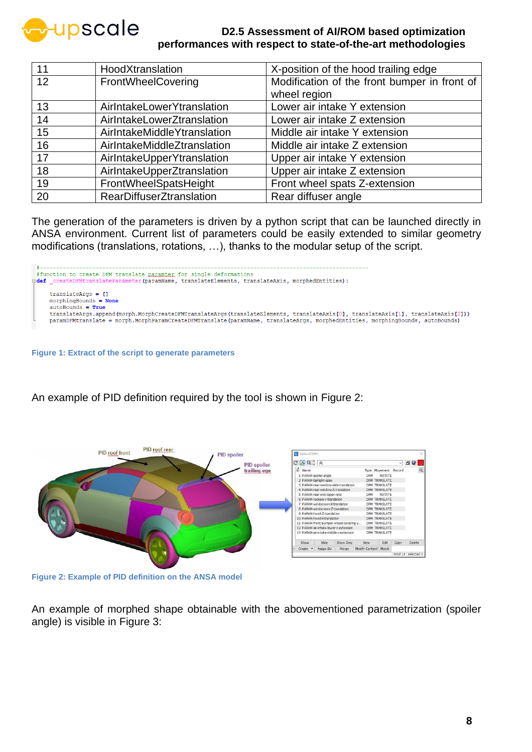

| 11 | HoodXtranslation                | X-position of the hood trailing edge         |
|----|---------------------------------|----------------------------------------------|
| 12 | FrontWheelCovering              | Modification of the front bumper in front of |
|    |                                 | wheel region                                 |
| 13 | AirlntakeLowerYtranslation      | Lower air intake Y extension                 |
| 14 | AirlntakeLowerZtranslation      | Lower air intake Z extension                 |
| 15 | AirlntakeMiddleYtranslation     | Middle air intake Y extension                |
| 16 | AirlntakeMiddleZtranslation     | Middle air intake Z extension                |
| 17 | AirlntakeUpperYtranslation      | Upper air intake Y extension                 |
| 18 | AirIntakeUpperZtranslation      | Upper air intake Z extension                 |
| 19 | FrontWheelSpatsHeight           | Front wheel spats Z-extension                |
| 20 | <b>RearDiffuserZtranslation</b> | Rear diffuser angle                          |

The generation of the parameters is driven by a python script that can be launched directly in ANSA environment. Current list of parameters could be easily extended to similar geometry modifications (translations, rotations, …), thanks to the modular setup of the script.



**Figure 1: Extract of the script to generate parameters**

An example of PID definition required by the tool is shown in [Figure 2:](#page-7-0)



<span id="page-7-0"></span>**Figure 2: Example of PID definition on the ANSA model**

An example of morphed shape obtainable with the abovementioned parametrization (spoiler angle) is visible in [Figure 3:](#page-8-2)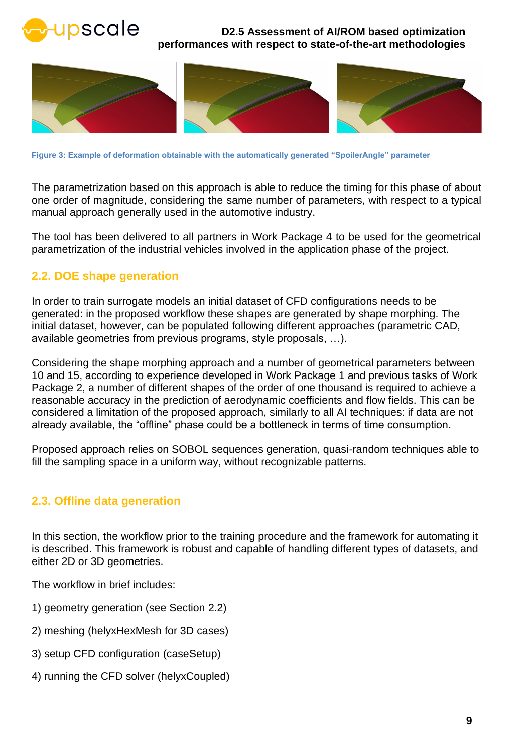



**Figure 3: Example of deformation obtainable with the automatically generated "SpoilerAngle" parameter**

<span id="page-8-2"></span>The parametrization based on this approach is able to reduce the timing for this phase of about one order of magnitude, considering the same number of parameters, with respect to a typical manual approach generally used in the automotive industry.

The tool has been delivered to all partners in Work Package 4 to be used for the geometrical parametrization of the industrial vehicles involved in the application phase of the project.

### <span id="page-8-0"></span>**2.2. DOE shape generation**

In order to train surrogate models an initial dataset of CFD configurations needs to be generated: in the proposed workflow these shapes are generated by shape morphing. The initial dataset, however, can be populated following different approaches (parametric CAD, available geometries from previous programs, style proposals, …).

Considering the shape morphing approach and a number of geometrical parameters between 10 and 15, according to experience developed in Work Package 1 and previous tasks of Work Package 2, a number of different shapes of the order of one thousand is required to achieve a reasonable accuracy in the prediction of aerodynamic coefficients and flow fields. This can be considered a limitation of the proposed approach, similarly to all AI techniques: if data are not already available, the "offline" phase could be a bottleneck in terms of time consumption.

Proposed approach relies on SOBOL sequences generation, quasi-random techniques able to fill the sampling space in a uniform way, without recognizable patterns.

### <span id="page-8-1"></span>**2.3. Offline data generation**

In this section, the workflow prior to the training procedure and the framework for automating it is described. This framework is robust and capable of handling different types of datasets, and either 2D or 3D geometries.

The workflow in brief includes:

- 1) geometry generation (see Section [2.2\)](#page-8-0)
- 2) meshing (helyxHexMesh for 3D cases)
- 3) setup CFD configuration (caseSetup)
- 4) running the CFD solver (helyxCoupled)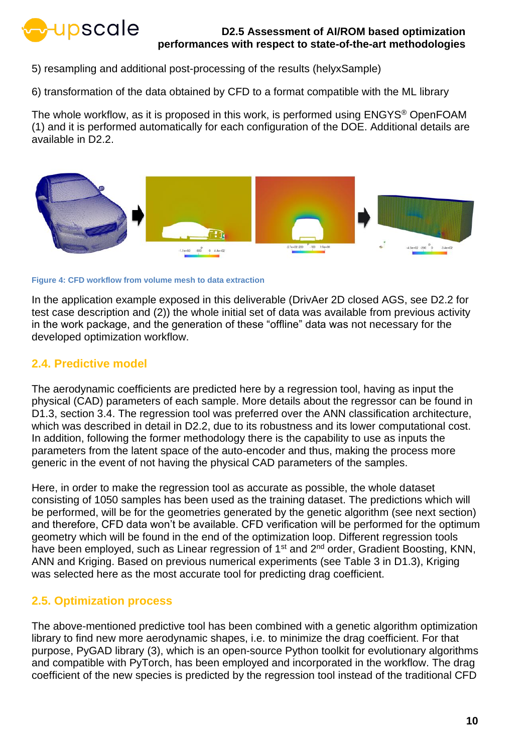

5) resampling and additional post-processing of the results (helyxSample)

6) transformation of the data obtained by CFD to a format compatible with the ML library

The whole workflow, as it is proposed in this work, is performed using ENGYS® OpenFOAM (1) and it is performed automatically for each configuration of the DOE. Additional details are available in D2.2.



**Figure 4: CFD workflow from volume mesh to data extraction**

In the application example exposed in this deliverable (DrivAer 2D closed AGS, see D2.2 for test case description and (2)) the whole initial set of data was available from previous activity in the work package, and the generation of these "offline" data was not necessary for the developed optimization workflow.

### <span id="page-9-0"></span>**2.4. Predictive model**

The aerodynamic coefficients are predicted here by a regression tool, having as input the physical (CAD) parameters of each sample. More details about the regressor can be found in D1.3, section 3.4. The regression tool was preferred over the ANN classification architecture, which was described in detail in D2.2, due to its robustness and its lower computational cost. In addition, following the former methodology there is the capability to use as inputs the parameters from the latent space of the auto-encoder and thus, making the process more generic in the event of not having the physical CAD parameters of the samples.

Here, in order to make the regression tool as accurate as possible, the whole dataset consisting of 1050 samples has been used as the training dataset. The predictions which will be performed, will be for the geometries generated by the genetic algorithm (see next section) and therefore, CFD data won't be available. CFD verification will be performed for the optimum geometry which will be found in the end of the optimization loop. Different regression tools have been employed, such as Linear regression of 1<sup>st</sup> and 2<sup>nd</sup> order, Gradient Boosting, KNN, ANN and Kriging. Based on previous numerical experiments (see Table 3 in D1.3), Kriging was selected here as the most accurate tool for predicting drag coefficient.

### <span id="page-9-1"></span>**2.5. Optimization process**

The above-mentioned predictive tool has been combined with a genetic algorithm optimization library to find new more aerodynamic shapes, i.e. to minimize the drag coefficient. For that purpose, PyGAD library (3), which is an open-source Python toolkit for evolutionary algorithms and compatible with PyTorch, has been employed and incorporated in the workflow. The drag coefficient of the new species is predicted by the regression tool instead of the traditional CFD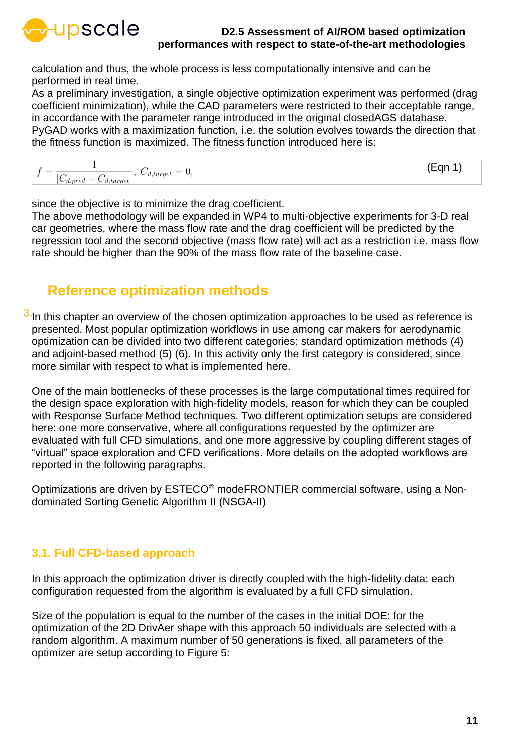

calculation and thus, the whole process is less computationally intensive and can be performed in real time.

As a preliminary investigation, a single objective optimization experiment was performed (drag coefficient minimization), while the CAD parameters were restricted to their acceptable range, in accordance with the parameter range introduced in the original closedAGS database. PyGAD works with a maximization function, i.e. the solution evolves towards the direction that the fitness function is maximized. The fitness function introduced here is:

 $f = \frac{1}{|C_{d,pred} - C_{d,target}|}, \ C_{d,target} = 0,$ (Eqn 1)

since the objective is to minimize the drag coefficient.

The above methodology will be expanded in WP4 to multi-objective experiments for 3-D real car geometries, where the mass flow rate and the drag coefficient will be predicted by the regression tool and the second objective (mass flow rate) will act as a restriction i.e. mass flow rate should be higher than the 90% of the mass flow rate of the baseline case.

### <span id="page-10-0"></span>**Reference optimization methods**

 $3$  In this chapter an overview of the chosen optimization approaches to be used as reference is presented. Most popular optimization workflows in use among car makers for aerodynamic optimization can be divided into two different categories: standard optimization methods (4) and adjoint-based method (5) (6). In this activity only the first category is considered, since more similar with respect to what is implemented here.

One of the main bottlenecks of these processes is the large computational times required for the design space exploration with high-fidelity models, reason for which they can be coupled with Response Surface Method techniques. Two different optimization setups are considered here: one more conservative, where all configurations requested by the optimizer are evaluated with full CFD simulations, and one more aggressive by coupling different stages of "virtual" space exploration and CFD verifications. More details on the adopted workflows are reported in the following paragraphs.

Optimizations are driven by ESTECO® modeFRONTIER commercial software, using a Nondominated Sorting Genetic Algorithm II (NSGA-II)

### <span id="page-10-1"></span>**3.1. Full CFD-based approach**

In this approach the optimization driver is directly coupled with the high-fidelity data: each configuration requested from the algorithm is evaluated by a full CFD simulation.

Size of the population is equal to the number of the cases in the initial DOE: for the optimization of the 2D DrivAer shape with this approach 50 individuals are selected with a random algorithm. A maximum number of 50 generations is fixed, all parameters of the optimizer are setup according to [Figure 5:](#page-11-1)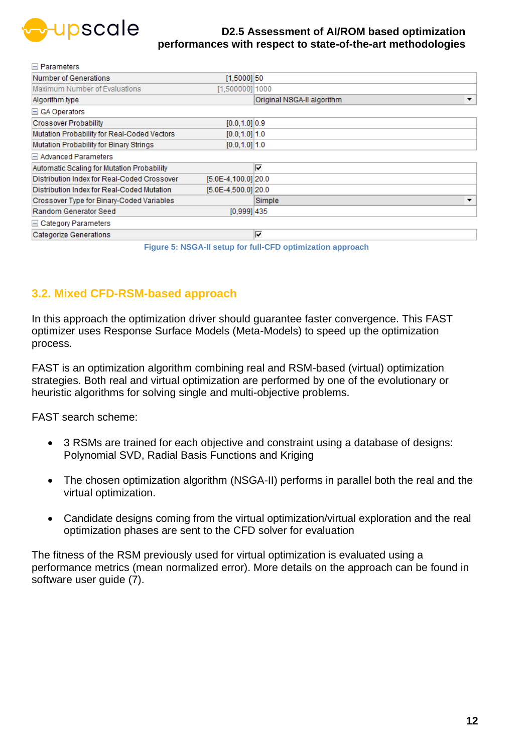

| ⊫ гананне <b>нет</b> э                      |                     |                                                            |
|---------------------------------------------|---------------------|------------------------------------------------------------|
| Number of Generations                       | $[1,5000]$ 50       |                                                            |
| Maximum Number of Evaluations               | $[1,500000]$ 1000   |                                                            |
| Algorithm type                              |                     | Original NSGA-II algorithm<br>$\overline{\phantom{a}}$     |
| $\Box$ GA Operators                         |                     |                                                            |
| <b>Crossover Probability</b>                | $[0.0, 1.0]$ 0.9    |                                                            |
| Mutation Probability for Real-Coded Vectors | $[0.0, 1.0]$ 1.0    |                                                            |
| Mutation Probability for Binary Strings     | $[0.0, 1.0]$ 1.0    |                                                            |
| <b>□ Advanced Parameters</b>                |                     |                                                            |
| Automatic Scaling for Mutation Probability  |                     | ⊽                                                          |
| Distribution Index for Real-Coded Crossover | [5.0E-4.100.0] 20.0 |                                                            |
| Distribution Index for Real-Coded Mutation  | [5.0E-4.500.01 20.0 |                                                            |
| Crossover Type for Binary-Coded Variables   |                     | Simple<br>▼                                                |
| Random Generator Seed                       | $[0,999]$ 435       |                                                            |
| <b>□ Category Parameters</b>                |                     |                                                            |
| <b>Categorize Generations</b>               |                     | ⊽                                                          |
|                                             |                     | Figure 5: NSGA-II setup for full-CFD optimization approach |

### <span id="page-11-1"></span><span id="page-11-0"></span>**3.2. Mixed CFD-RSM-based approach**

In this approach the optimization driver should guarantee faster convergence. This FAST optimizer uses Response Surface Models (Meta-Models) to speed up the optimization process.

FAST is an optimization algorithm combining real and RSM-based (virtual) optimization strategies. Both real and virtual optimization are performed by one of the evolutionary or heuristic algorithms for solving single and multi-objective problems.

FAST search scheme:

- 3 RSMs are trained for each objective and constraint using a database of designs: Polynomial SVD, Radial Basis Functions and Kriging
- The chosen optimization algorithm (NSGA-II) performs in parallel both the real and the virtual optimization.
- Candidate designs coming from the virtual optimization/virtual exploration and the real optimization phases are sent to the CFD solver for evaluation

The fitness of the RSM previously used for virtual optimization is evaluated using a performance metrics (mean normalized error). More details on the approach can be found in software user guide (7).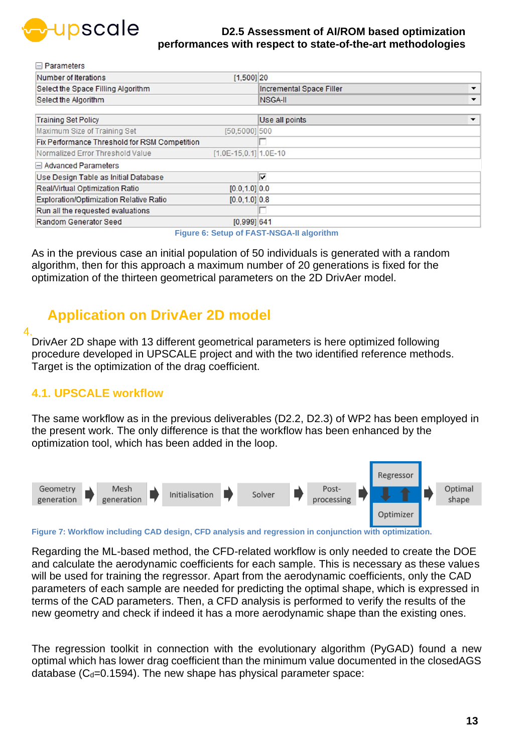

**Doromators** 

### **D2.5 Assessment of AI/ROM based optimization performances with respect to state-of-the-art methodologies**

| п ганные в                                     |                         |                                 |              |
|------------------------------------------------|-------------------------|---------------------------------|--------------|
| Number of Iterations                           | $[1,500]$ 20            |                                 |              |
| Select the Space Filling Algorithm             |                         | <b>Incremental Space Filler</b> |              |
| Select the Algorithm                           |                         | NSGA-II                         | $\checkmark$ |
| <b>Training Set Policy</b>                     |                         | Use all points                  |              |
| Maximum Size of Training Set                   | [50,5000] 500           |                                 |              |
| Fix Performance Threshold for RSM Competition  |                         |                                 |              |
| Normalized Error Threshold Value               | $[1.0E-15,0.1]$ 1.0E-10 |                                 |              |
| Advanced Parameters                            |                         |                                 |              |
| Use Design Table as Initial Database           |                         | ⊽                               |              |
| Real/Virtual Optimization Ratio                | $[0.0, 1.0]$ 0.0        |                                 |              |
| <b>Exploration/Optimization Relative Ratio</b> | $[0.0, 1.0]$ 0.8        |                                 |              |
| Run all the requested evaluations              |                         |                                 |              |
| Random Generator Seed                          | $[0,999]$ 641           |                                 |              |

**Figure 6: Setup of FAST-NSGA-II algorithm**

As in the previous case an initial population of 50 individuals is generated with a random algorithm, then for this approach a maximum number of 20 generations is fixed for the optimization of the thirteen geometrical parameters on the 2D DrivAer model.

### <span id="page-12-0"></span>**Application on DrivAer 2D model**

 $\overline{4}$ 

DrivAer 2D shape with 13 different geometrical parameters is here optimized following procedure developed in UPSCALE project and with the two identified reference methods. Target is the optimization of the drag coefficient.

### <span id="page-12-1"></span>**4.1. UPSCALE workflow**

The same workflow as in the previous deliverables (D2.2, D2.3) of WP2 has been employed in the present work. The only difference is that the workflow has been enhanced by the optimization tool, which has been added in the loop.



**Figure 7: Workflow including CAD design, CFD analysis and regression in conjunction with optimization.**

Regarding the ML-based method, the CFD-related workflow is only needed to create the DOE and calculate the aerodynamic coefficients for each sample. This is necessary as these values will be used for training the regressor. Apart from the aerodynamic coefficients, only the CAD parameters of each sample are needed for predicting the optimal shape, which is expressed in terms of the CAD parameters. Then, a CFD analysis is performed to verify the results of the new geometry and check if indeed it has a more aerodynamic shape than the existing ones.

The regression toolkit in connection with the evolutionary algorithm (PyGAD) found a new optimal which has lower drag coefficient than the minimum value documented in the closedAGS database ( $C_d$ =0.1594). The new shape has physical parameter space: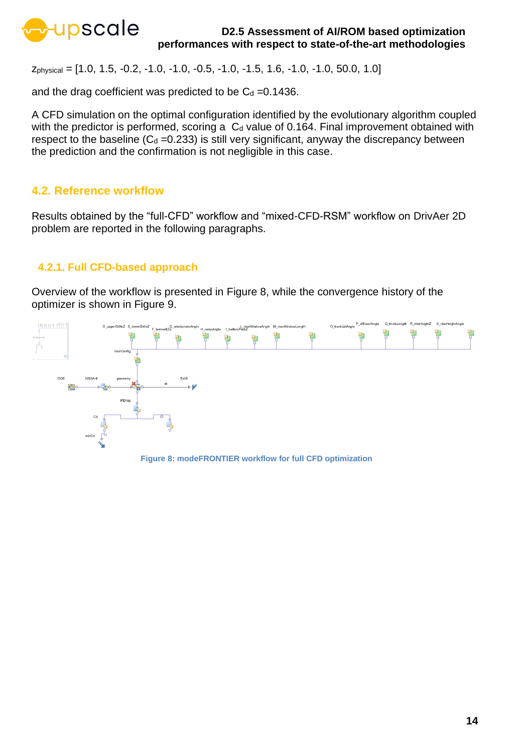

zphysical = [1.0, 1.5, -0.2, -1.0, -1.0, -0.5, -1.0, -1.5, 1.6, -1.0, -1.0, 50.0, 1.0]

and the drag coefficient was predicted to be  $C_d = 0.1436$ .

A CFD simulation on the optimal configuration identified by the evolutionary algorithm coupled with the predictor is performed, scoring a  $C_d$  value of 0.164. Final improvement obtained with respect to the baseline  $(C_d = 0.233)$  is still very significant, anyway the discrepancy between the prediction and the confirmation is not negligible in this case.

### <span id="page-13-0"></span>**4.2. Reference workflow**

Results obtained by the "full-CFD" workflow and "mixed-CFD-RSM" workflow on DrivAer 2D problem are reported in the following paragraphs.

### <span id="page-13-1"></span>**4.2.1. Full CFD-based approach**

Overview of the workflow is presented in [Figure 8,](#page-13-2) while the convergence history of the optimizer is shown in [Figure 9.](#page-14-1)

<span id="page-13-2"></span>

**Figure 8: modeFRONTIER workflow for full CFD optimization**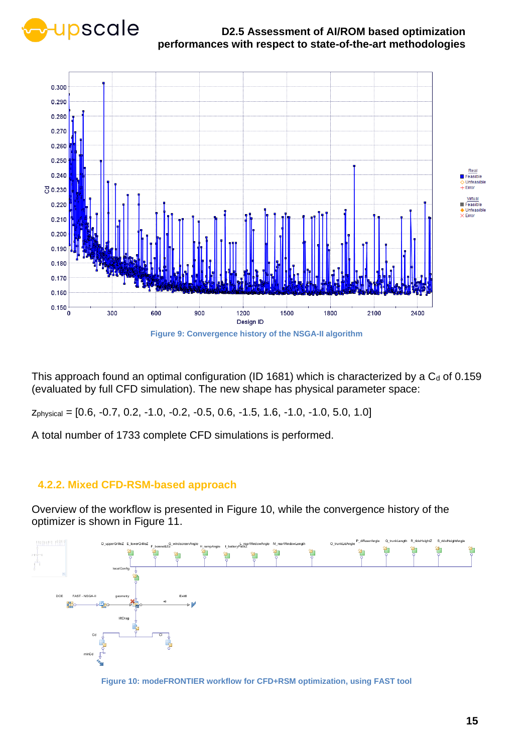



<span id="page-14-1"></span>This approach found an optimal configuration (ID 1681) which is characterized by a  $C<sub>d</sub>$  of 0.159 (evaluated by full CFD simulation). The new shape has physical parameter space:

zphysical = [0.6, -0.7, 0.2, -1.0, -0.2, -0.5, 0.6, -1.5, 1.6, -1.0, -1.0, 5.0, 1.0]

A total number of 1733 complete CFD simulations is performed.

### <span id="page-14-0"></span>**4.2.2. Mixed CFD-RSM-based approach**

Overview of the workflow is presented in [Figure 10,](#page-14-2) while the convergence history of the optimizer is shown in [Figure 11.](#page-15-1)



<span id="page-14-2"></span>**Figure 10: modeFRONTIER workflow for CFD+RSM optimization, using FAST tool**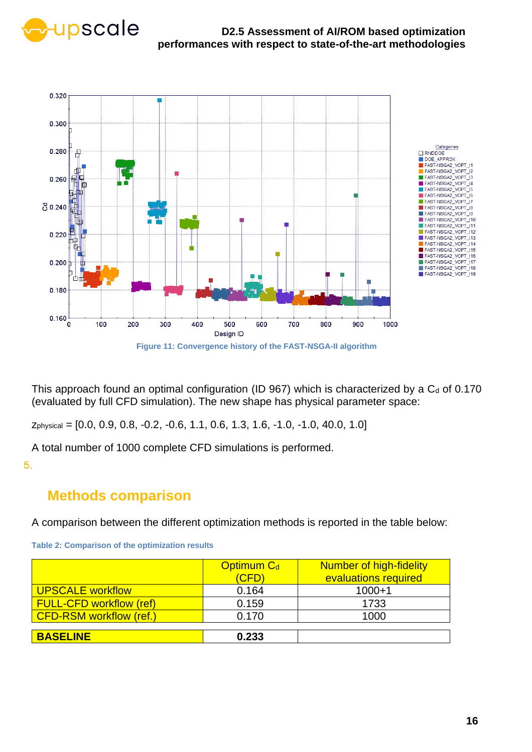



<span id="page-15-1"></span>This approach found an optimal configuration (ID 967) which is characterized by a  $C<sub>d</sub>$  of 0.170 (evaluated by full CFD simulation). The new shape has physical parameter space:

zphysical = [0.0, 0.9, 0.8, -0.2, -0.6, 1.1, 0.6, 1.3, 1.6, -1.0, -1.0, 40.0, 1.0]

A total number of 1000 complete CFD simulations is performed.

<span id="page-15-0"></span>5.

### **Methods comparison**

A comparison between the different optimization methods is reported in the table below:

|                                | <b>Optimum Cd</b><br>(CFD) | Number of high-fidelity<br>evaluations required |
|--------------------------------|----------------------------|-------------------------------------------------|
| <b>UPSCALE workflow</b>        | 0.164                      | $1000 + 1$                                      |
| <b>FULL-CFD workflow (ref)</b> | 0.159                      | 1733                                            |
| <b>CFD-RSM workflow (ref.)</b> | 0.170                      | 1000                                            |
| <b>BASELINE</b>                | 0.233                      |                                                 |

**Table 2: Comparison of the optimization results**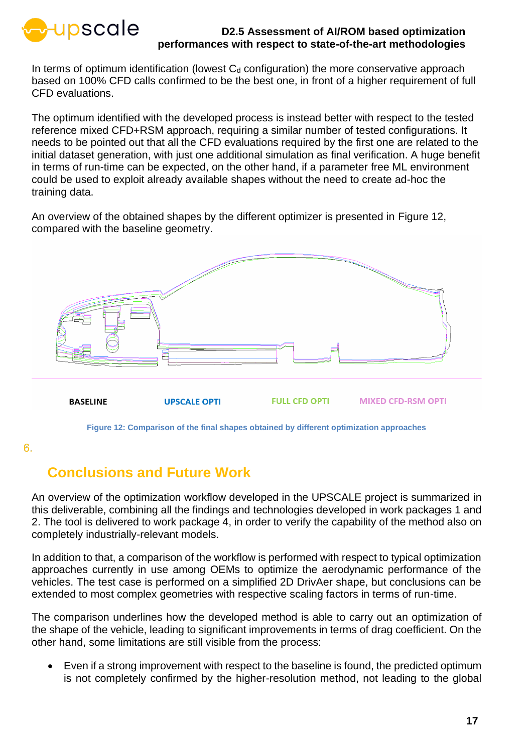

In terms of optimum identification (lowest  $C_d$  configuration) the more conservative approach based on 100% CFD calls confirmed to be the best one, in front of a higher requirement of full CFD evaluations.

The optimum identified with the developed process is instead better with respect to the tested reference mixed CFD+RSM approach, requiring a similar number of tested configurations. It needs to be pointed out that all the CFD evaluations required by the first one are related to the initial dataset generation, with just one additional simulation as final verification. A huge benefit in terms of run-time can be expected, on the other hand, if a parameter free ML environment could be used to exploit already available shapes without the need to create ad-hoc the training data.

An overview of the obtained shapes by the different optimizer is presented in [Figure 12,](#page-16-1) compared with the baseline geometry.



**Figure 12: Comparison of the final shapes obtained by different optimization approaches**

<span id="page-16-1"></span><span id="page-16-0"></span>6.

### **Conclusions and Future Work**

An overview of the optimization workflow developed in the UPSCALE project is summarized in this deliverable, combining all the findings and technologies developed in work packages 1 and 2. The tool is delivered to work package 4, in order to verify the capability of the method also on completely industrially-relevant models.

In addition to that, a comparison of the workflow is performed with respect to typical optimization approaches currently in use among OEMs to optimize the aerodynamic performance of the vehicles. The test case is performed on a simplified 2D DrivAer shape, but conclusions can be extended to most complex geometries with respective scaling factors in terms of run-time.

The comparison underlines how the developed method is able to carry out an optimization of the shape of the vehicle, leading to significant improvements in terms of drag coefficient. On the other hand, some limitations are still visible from the process:

• Even if a strong improvement with respect to the baseline is found, the predicted optimum is not completely confirmed by the higher-resolution method, not leading to the global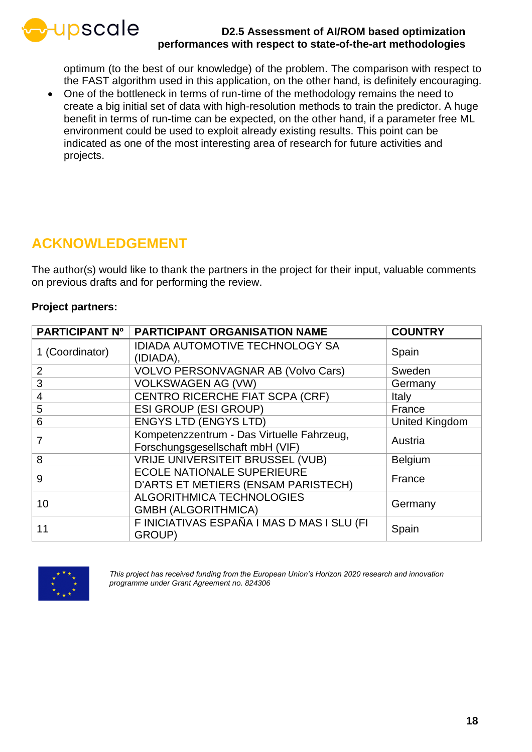

optimum (to the best of our knowledge) of the problem. The comparison with respect to the FAST algorithm used in this application, on the other hand, is definitely encouraging.

• One of the bottleneck in terms of run-time of the methodology remains the need to create a big initial set of data with high-resolution methods to train the predictor. A huge benefit in terms of run-time can be expected, on the other hand, if a parameter free ML environment could be used to exploit already existing results. This point can be indicated as one of the most interesting area of research for future activities and projects.

### <span id="page-17-0"></span>**ACKNOWLEDGEMENT**

The author(s) would like to thank the partners in the project for their input, valuable comments on previous drafts and for performing the review.

### **Project partners:**

| <b>PARTICIPANT Nº</b> | <b>PARTICIPANT ORGANISATION NAME</b>                                           | <b>COUNTRY</b> |
|-----------------------|--------------------------------------------------------------------------------|----------------|
| 1 (Coordinator)       | <b>IDIADA AUTOMOTIVE TECHNOLOGY SA</b><br>(IDIADA),                            | Spain          |
| $\overline{2}$        | <b>VOLVO PERSONVAGNAR AB (Volvo Cars)</b>                                      | Sweden         |
| 3                     | <b>VOLKSWAGEN AG (VW)</b>                                                      | Germany        |
| 4                     | CENTRO RICERCHE FIAT SCPA (CRF)                                                | Italy          |
| 5                     | <b>ESI GROUP (ESI GROUP)</b>                                                   | France         |
| 6                     | <b>ENGYS LTD (ENGYS LTD)</b>                                                   | United Kingdom |
| 7                     | Kompetenzzentrum - Das Virtuelle Fahrzeug,<br>Forschungsgesellschaft mbH (VIF) | Austria        |
| 8                     | <b>VRIJE UNIVERSITEIT BRUSSEL (VUB)</b>                                        | <b>Belgium</b> |
| 9                     | <b>ECOLE NATIONALE SUPERIEURE</b><br>D'ARTS ET METIERS (ENSAM PARISTECH)       | France         |
| 10                    | <b>ALGORITHMICA TECHNOLOGIES</b><br><b>GMBH (ALGORITHMICA)</b>                 | Germany        |
| 11                    | F INICIATIVAS ESPAÑA I MAS D MAS I SLU (FI<br>GROUP)                           | Spain          |



*This project has received funding from the European Union's Horizon 2020 research and innovation programme under Grant Agreement no. 824306*